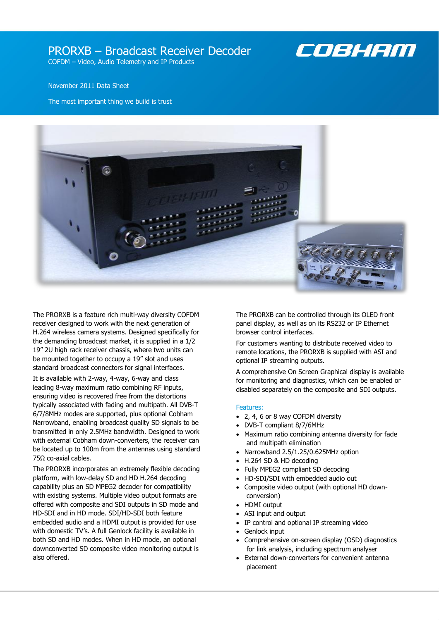# PRORXB – Broadcast Receiver Decoder



COFDM – Video, Audio Telemetry and IP Products

# November 2011 Data Sheet

The most important thing we build is trust



The PRORXB is a feature rich multi-way diversity COFDM receiver designed to work with the next generation of H.264 wireless camera systems. Designed specifically for the demanding broadcast market, it is supplied in a 1/2 19" 2U high rack receiver chassis, where two units can be mounted together to occupy a 19" slot and uses standard broadcast connectors for signal interfaces.

It is available with 2-way, 4-way, 6-way and class leading 8-way maximum ratio combining RF inputs, ensuring video is recovered free from the distortions typically associated with fading and multipath. All DVB-T 6/7/8MHz modes are supported, plus optional Cobham Narrowband, enabling broadcast quality SD signals to be transmitted in only 2.5MHz bandwidth. Designed to work with external Cobham down-converters, the receiver can be located up to 100m from the antennas using standard 75Ω co-axial cables.

The PRORXB incorporates an extremely flexible decoding platform, with low-delay SD and HD H.264 decoding capability plus an SD MPEG2 decoder for compatibility with existing systems. Multiple video output formats are offered with composite and SDI outputs in SD mode and HD-SDI and in HD mode. SDI/HD-SDI both feature embedded audio and a HDMI output is provided for use with domestic TV's. A full Genlock facility is available in both SD and HD modes. When in HD mode, an optional downconverted SD composite video monitoring output is also offered.

The PRORXB can be controlled through its OLED front panel display, as well as on its RS232 or IP Ethernet browser control interfaces.

For customers wanting to distribute received video to remote locations, the PRORXB is supplied with ASI and optional IP streaming outputs.

A comprehensive On Screen Graphical display is available for monitoring and diagnostics, which can be enabled or disabled separately on the composite and SDI outputs.

# Features:

- 2, 4, 6 or 8 way COFDM diversity
- DVB-T compliant 8/7/6MHz
- Maximum ratio combining antenna diversity for fade and multipath elimination
- Narrowband 2.5/1.25/0.625MHz option
- H.264 SD & HD decoding
- Fully MPEG2 compliant SD decoding
- HD-SDI/SDI with embedded audio out
- Composite video output (with optional HD downconversion)
- HDMI output
- ASI input and output
- IP control and optional IP streaming video
- Genlock input
- Comprehensive on-screen display (OSD) diagnostics for link analysis, including spectrum analyser
- External down-converters for convenient antenna placement